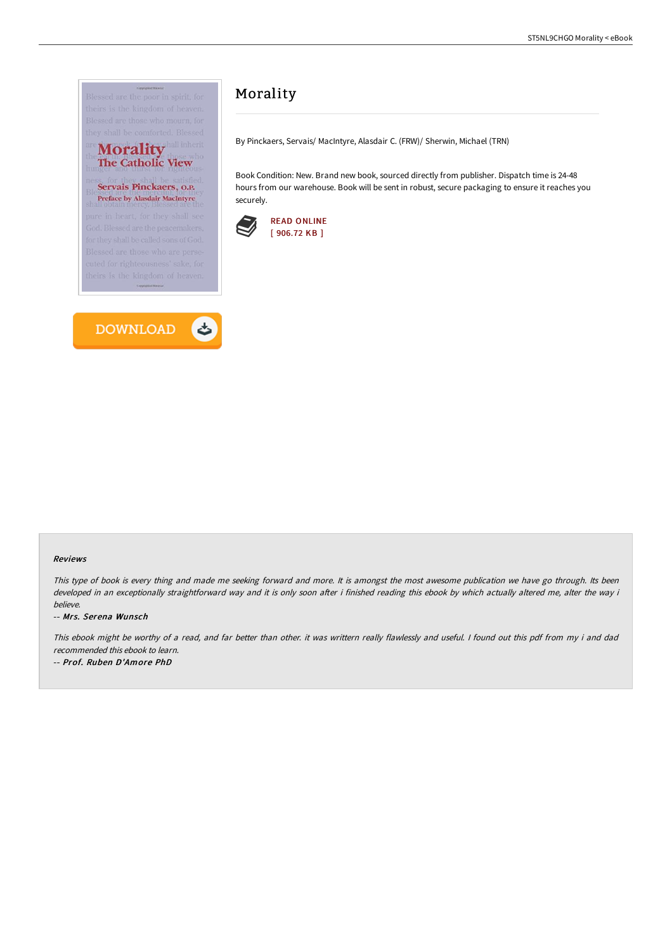



# Morality

By Pinckaers, Servais/ MacIntyre, Alasdair C. (FRW)/ Sherwin, Michael (TRN)

Book Condition: New. Brand new book, sourced directly from publisher. Dispatch time is 24-48 hours from our warehouse. Book will be sent in robust, secure packaging to ensure it reaches you securely.



#### Reviews

This type of book is every thing and made me seeking forward and more. It is amongst the most awesome publication we have go through. Its been developed in an exceptionally straightforward way and it is only soon after i finished reading this ebook by which actually altered me, alter the way i believe.

#### -- Mrs. Serena Wunsch

This ebook might be worthy of <sup>a</sup> read, and far better than other. it was writtern really flawlessly and useful. <sup>I</sup> found out this pdf from my i and dad recommended this ebook to learn.

-- Prof. Ruben D'Amore PhD